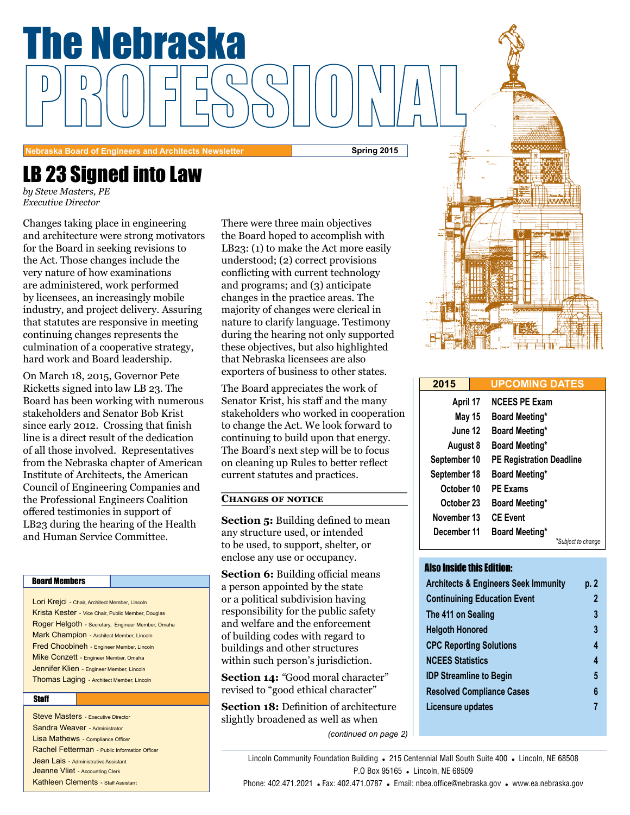

**Nebraska Board of Engineers and Architects Newsletter Spring 2015**

## LB 23 Signed into Law

*by Steve Masters, PE Executive Director*

Changes taking place in engineering<br>and architecture were strong motivat<br>for the Board in seeking revisions to for the board in seeking revisions to<br>the Act. Those changes include the and architecture were strong motivators for the Board in seeking revisions to very nature of how examinations are administered, work performed by licensees, an increasingly mobile industry, and project delivery. Assuring that statutes are responsive in meeting continuing changes represents the culmination of a cooperative strategy, hard work and Board leadership.

On March 18, 2015, Governor Pete Ricketts signed into law LB 23. The Board has been working with numerous stakeholders and Senator Bob Krist since early 2012. Crossing that finish line is a direct result of the dedication of all those involved. Representatives from the Nebraska chapter of American Institute of Architects, the American Council of Engineering Companies and the Professional Engineers Coalition offered testimonies in support of LB23 during the hearing of the Health and Human Service Committee.

#### Board Members

Lori Krejci - Chair, Architect Member, Lincoln Krista Kester - Vice Chair, Public Member, Douglas Roger Helgoth - Secretary, Engineer Member, Omaha Mark Champion - Architect Member, Lincoln Fred Choobineh - Engineer Member, Lincoln Mike Conzett - Engineer Member, Omaha Jennifer Klien - Engineer Member, Lincoln Thomas Laging - Architect Member, Lincoln

#### **Staff**

**Steve Masters - Executive Director** Sandra Weaver - Administrator Lisa Mathews - Compliance Officer Rachel Fetterman - Public Information Officer Jean Lais - Administrative Assistant Jeanne Vliet - Accounting Clerk Kathleen Clements - Staff Assistant

There were three main objectives<br>the Board hoped to accomplish with<br>LB23: (1) to make the Act more easily  $L_{L_2}$ ,  $\left(1\right)$  to that the rect more calculated. There were three main objectives the Board hoped to accomplish with conflicting with current technology and programs; and (3) anticipate changes in the practice areas. The majority of changes were clerical in nature to clarify language. Testimony during the hearing not only supported these objectives, but also highlighted that Nebraska licensees are also exporters of business to other states.

The Board appreciates the work of Senator Krist, his staff and the many stakeholders who worked in cooperation to change the Act. We look forward to continuing to build upon that energy. The Board's next step will be to focus on cleaning up Rules to better reflect current statutes and practices.

#### **Changes of notice**

**Section 5:** Building defined to mean any structure used, or intended to be used, to support, shelter, or enclose any use or occupancy.

**Section 6:** Building official means a person appointed by the state or a political subdivision having responsibility for the public safety and welfare and the enforcement of building codes with regard to buildings and other structures within such person's jurisdiction.

**Section 14:** *"*Good moral character" revised to "good ethical character"

**Section 18:** Definition of architecture slightly broadened as well as when



| 2015         |  | <b>UPCOMING DATES</b>           |  |  |
|--------------|--|---------------------------------|--|--|
| April 17     |  | <b>NCEES PE Exam</b>            |  |  |
| May 15       |  | <b>Board Meeting*</b>           |  |  |
| June 12      |  | <b>Board Meeting*</b>           |  |  |
| August 8     |  | <b>Board Meeting*</b>           |  |  |
| September 10 |  | <b>PE Registration Deadline</b> |  |  |
| September 18 |  | <b>Board Meeting*</b>           |  |  |
| October 10   |  | <b>PE Exams</b>                 |  |  |
| October 23   |  | Board Meeting*                  |  |  |
| November 13  |  | <b>CE Event</b>                 |  |  |
| December 11  |  | <b>Board Meeting*</b>           |  |  |
|              |  | *Subject to change              |  |  |

#### Also Inside this Edition:

| <b>Architects &amp; Engineers Seek Immunity</b> | p. 2 |
|-------------------------------------------------|------|
| <b>Continuining Education Event</b>             | 2    |
| The 411 on Sealing                              | 3    |
| <b>Helgoth Honored</b>                          | 3    |
| <b>CPC Reporting Solutions</b>                  | 4    |
| <b>NCEES Statistics</b>                         | 4    |
| <b>IDP Streamline to Begin</b>                  | 5    |
| <b>Resolved Compliance Cases</b>                | 6    |
| Licensure updates                               |      |

Lincoln Community Foundation Building . 215 Centennial Mall South Suite 400 . Lincoln, NE 68508 P.O Box 95165 . Lincoln, NE 68509

*(continued on page 2)*

Phone: 402.471.2021 • Fax: 402.471.0787 • Email: nbea.office@nebraska.gov • www.ea.nebraska.gov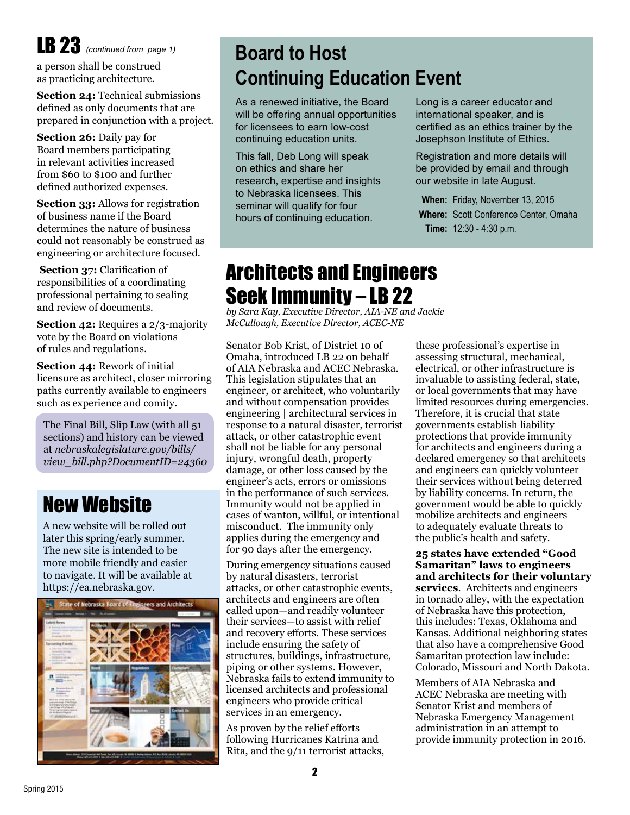# LB 23 *(continued from page 1)*

a person shall be construed as practicing architecture.

**Section 24: Technical submissions** defined as only documents that are prepared in conjunction with a project.

**Section 26:** Daily pay for Board members participating in relevant activities increased from \$60 to \$100 and further defined authorized expenses.

**Section 33:** Allows for registration of business name if the Board determines the nature of business could not reasonably be construed as engineering or architecture focused.

**Section 37:** Clarification of responsibilities of a coordinating professional pertaining to sealing and review of documents.

**Section 42:** Requires a 2/3-majority vote by the Board on violations of rules and regulations.

**Section 44:** Rework of initial licensure as architect, closer mirroring paths currently available to engineers such as experience and comity.

The Final Bill, Slip Law (with all 51 sections) and history can be viewed at *nebraskalegislature.gov/bills/ view\_bill.php?DocumentID=24360*

### New Website

A new website will be rolled out later this spring/early summer. The new site is intended to be more mobile friendly and easier to navigate. It will be available at https://ea.nebraska.gov.



## **Board to Host Continuing Education Event**

As a renewed initiative, the Board will be offering annual opportunities for licensees to earn low-cost continuing education units.

This fall, Deb Long will speak on ethics and share her research, expertise and insights to Nebraska licensees. This seminar will qualify for four hours of continuing education.

Long is a career educator and international speaker, and is certified as an ethics trainer by the Josephson Institute of Ethics.

Registration and more details will be provided by email and through our website in late August.

**When:** Friday, November 13, 2015 **Where:** Scott Conference Center, Omaha **Time:** 12:30 - 4:30 p.m.

### Architects and Engineers Seek Immunity – LB 22

*by Sara Kay, Executive Director, AIA-NE and Jackie McCullough, Executive Director, ACEC-NE*

Senator Bob Krist, of District 10 of Omaha, introduced LB 22 on behalf of AIA Nebraska and ACEC Nebraska. This legislation stipulates that an engineer, or architect, who voluntarily and without compensation provides engineering | architectural services in response to a natural disaster, terrorist attack, or other catastrophic event shall not be liable for any personal injury, wrongful death, property damage, or other loss caused by the engineer's acts, errors or omissions in the performance of such services. Immunity would not be applied in cases of wanton, willful, or intentional misconduct. The immunity only applies during the emergency and for 90 days after the emergency.

During emergency situations caused by natural disasters, terrorist attacks, or other catastrophic events, architects and engineers are often called upon—and readily volunteer their services—to assist with relief and recovery efforts. These services include ensuring the safety of structures, buildings, infrastructure, piping or other systems. However, Nebraska fails to extend immunity to licensed architects and professional engineers who provide critical services in an emergency.

As proven by the relief efforts following Hurricanes Katrina and Rita, and the 9/11 terrorist attacks, these professional's expertise in assessing structural, mechanical, electrical, or other infrastructure is invaluable to assisting federal, state, or local governments that may have limited resources during emergencies. Therefore, it is crucial that state governments establish liability protections that provide immunity for architects and engineers during a declared emergency so that architects and engineers can quickly volunteer their services without being deterred by liability concerns. In return, the government would be able to quickly mobilize architects and engineers to adequately evaluate threats to the public's health and safety.

**25 states have extended "Good Samaritan" laws to engineers and architects for their voluntary services**. Architects and engineers in tornado alley, with the expectation of Nebraska have this protection, this includes: Texas, Oklahoma and Kansas. Additional neighboring states that also have a comprehensive Good Samaritan protection law include: Colorado, Missouri and North Dakota.

Members of AIA Nebraska and ACEC Nebraska are meeting with Senator Krist and members of Nebraska Emergency Management administration in an attempt to provide immunity protection in 2016.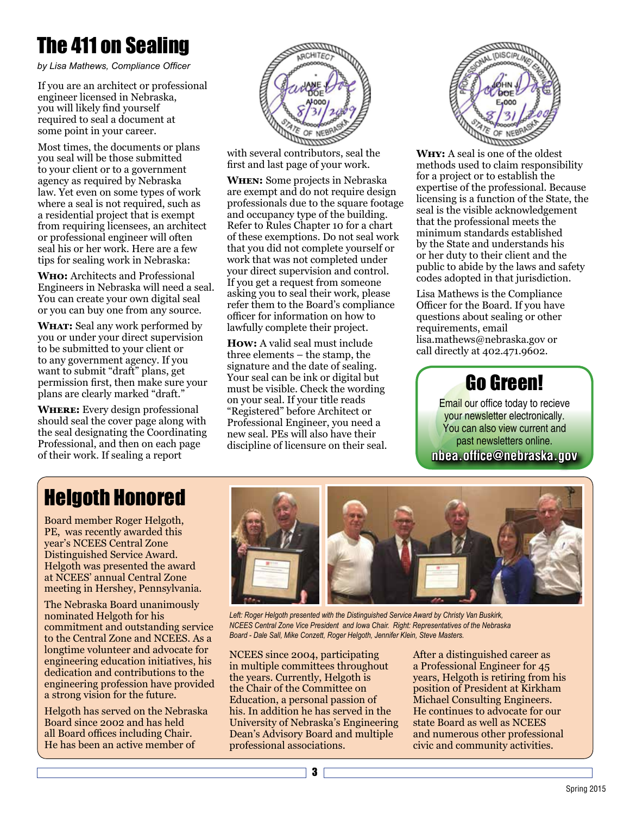## The 411 on Sealing

*by Lisa Mathews, Compliance Officer*

If you are an architect or professional engineer licensed in Nebraska, you will likely find yourself required to seal a document at some point in your career.

Most times, the documents or plans you seal will be those submitted to your client or to a government agency as required by Nebraska law. Yet even on some types of work where a seal is not required, such as a residential project that is exempt from requiring licensees, an architect or professional engineer will often seal his or her work. Here are a few tips for sealing work in Nebraska:

**Who:** Architects and Professional Engineers in Nebraska will need a seal. You can create your own digital seal or you can buy one from any source.

**WHAT:** Seal any work performed by you or under your direct supervision to be submitted to your client or to any government agency. If you want to submit "draft" plans, get permission first, then make sure your plans are clearly marked "draft."

**Where:** Every design professional should seal the cover page along with the seal designating the Coordinating Professional, and then on each page of their work. If sealing a report



with several contributors, seal the first and last page of your work.

**When:** Some projects in Nebraska are exempt and do not require design professionals due to the square footage and occupancy type of the building. Refer to Rules Chapter 10 for a chart of these exemptions. Do not seal work that you did not complete yourself or work that was not completed under your direct supervision and control. If you get a request from someone asking you to seal their work, please refer them to the Board's compliance officer for information on how to lawfully complete their project.

**How:** A valid seal must include three elements – the stamp, the signature and the date of sealing. Your seal can be ink or digital but must be visible. Check the wording on your seal. If your title reads "Registered" before Architect or Professional Engineer, you need a new seal. PEs will also have their discipline of licensure on their seal.



**Why:** A seal is one of the oldest methods used to claim responsibility for a project or to establish the expertise of the professional. Because licensing is a function of the State, the seal is the visible acknowledgement that the professional meets the minimum standards established by the State and understands his or her duty to their client and the public to abide by the laws and safety codes adopted in that jurisdiction.

Lisa Mathews is the Compliance Officer for the Board. If you have questions about sealing or other requirements, email lisa.mathews@nebraska.gov or call directly at 402.471.9602.

### Go Green!

**nbea.office@nebraska.gov** Email our office today to recieve your newsletter electronically. You can also view current and past newsletters online.

## Helgoth Honored

Board member Roger Helgoth, PE, was recently awarded this year's NCEES Central Zone Distinguished Service Award. Helgoth was presented the award at NCEES' annual Central Zone meeting in Hershey, Pennsylvania.

The Nebraska Board unanimously nominated Helgoth for his commitment and outstanding service to the Central Zone and NCEES. As a longtime volunteer and advocate for engineering education initiatives, his dedication and contributions to the engineering profession have provided a strong vision for the future.

Helgoth has served on the Nebraska Board since 2002 and has held all Board offices including Chair. He has been an active member of



Left: Roger Helgoth presented with the Distinguished Service Award by Christy Van Buskirk, *NCEES Central Zone Vice President and Iowa Chair. Right: Representatives of the Nebraska Board - Dale Sall, Mike Conzett, Roger Helgoth, Jennifer Klein, Steve Masters.* 

NCEES since 2004, participating in multiple committees throughout the years. Currently, Helgoth is the Chair of the Committee on Education, a personal passion of his. In addition he has served in the University of Nebraska's Engineering Dean's Advisory Board and multiple professional associations.

3

After a distinguished career as a Professional Engineer for 45 years, Helgoth is retiring from his position of President at Kirkham Michael Consulting Engineers. He continues to advocate for our state Board as well as NCEES and numerous other professional civic and community activities.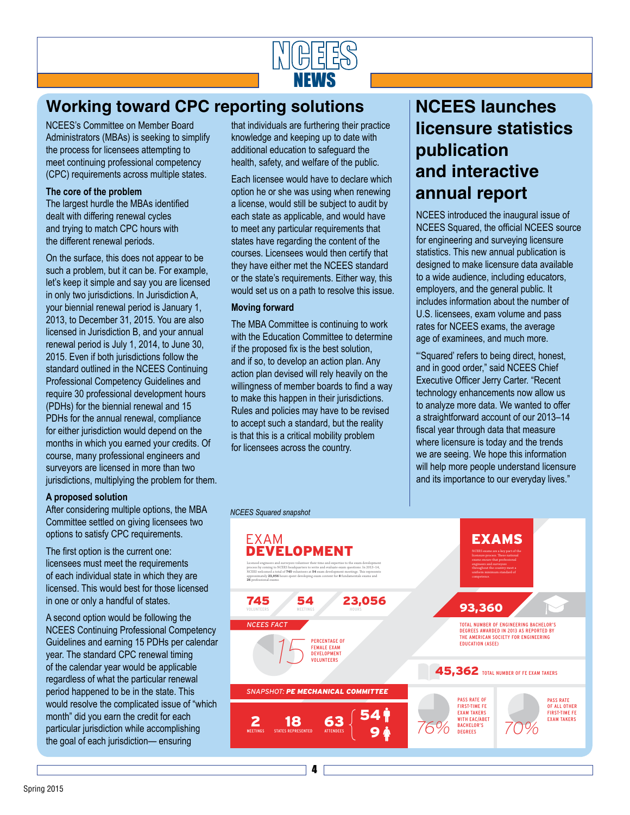

### **Working toward CPC reporting solutions**

NCEES's Committee on Member Board Administrators (MBAs) is seeking to simplify the process for licensees attempting to meet continuing professional competency (CPC) requirements across multiple states.

#### **The core of the problem**

The largest hurdle the MBAs identified dealt with differing renewal cycles and trying to match CPC hours with the different renewal periods.

On the surface, this does not appear to be such a problem, but it can be. For example, let's keep it simple and say you are licensed in only two jurisdictions. In Jurisdiction A, your biennial renewal period is January 1, 2013, to December 31, 2015. You are also licensed in Jurisdiction B, and your annual renewal period is July 1, 2014, to June 30, 2015. Even if both jurisdictions follow the standard outlined in the NCEES Continuing Professional Competency Guidelines and require 30 professional development hours (PDHs) for the biennial renewal and 15 PDHs for the annual renewal, compliance for either jurisdiction would depend on the months in which you earned your credits. Of course, many professional engineers and surveyors are licensed in more than two jurisdictions, multiplying the problem for them.

#### **A proposed solution**

After considering multiple options, the MBA Committee settled on giving licensees two options to satisfy CPC requirements.

The first option is the current one: licensees must meet the requirements of each individual state in which they are licensed. This would best for those licensed in one or only a handful of states.

A second option would be following the NCEES Continuing Professional Competency Guidelines and earning 15 PDHs per calendar year. The standard CPC renewal timing of the calendar year would be applicable regardless of what the particular renewal period happened to be in the state. This would resolve the complicated issue of "which month" did you earn the credit for each particular jurisdiction while accomplishing the goal of each jurisdiction— ensuring

that individuals are furthering their practice knowledge and keeping up to date with additional education to safeguard the health, safety, and welfare of the public.

Each licensee would have to declare which option he or she was using when renewing a license, would still be subject to audit by each state as applicable, and would have to meet any particular requirements that states have regarding the content of the courses. Licensees would then certify that they have either met the NCEES standard or the state's requirements. Either way, this would set us on a path to resolve this issue.

#### **Moving forward**

The MBA Committee is continuing to work with the Education Committee to determine if the proposed fix is the best solution, and if so, to develop an action plan. Any action plan devised will rely heavily on the willingness of member boards to find a way to make this happen in their jurisdictions. Rules and policies may have to be revised to accept such a standard, but the reality is that this is a critical mobility problem for licensees across the country.

4

### **NCEES launches licensure statistics publication and interactive annual report**

<u>ncar</u>

NEWS

NCEES introduced the inaugural issue of NCEES Squared, the official NCEES source for engineering and surveying licensure statistics. This new annual publication is designed to make licensure data available to a wide audience, including educators, employers, and the general public. It includes information about the number of U.S. licensees, exam volume and pass rates for NCEES exams, the average age of examinees, and much more.

"'Squared' refers to being direct, honest, and in good order," said NCEES Chief Executive Officer Jerry Carter. "Recent technology enhancements now allow us to analyze more data. We wanted to offer a straightforward account of our 2013–14 fiscal year through data that measure where licensure is today and the trends we are seeing. We hope this information will help more people understand licensure and its importance to our everyday lives."

#### *NCEES Squared snapshot*

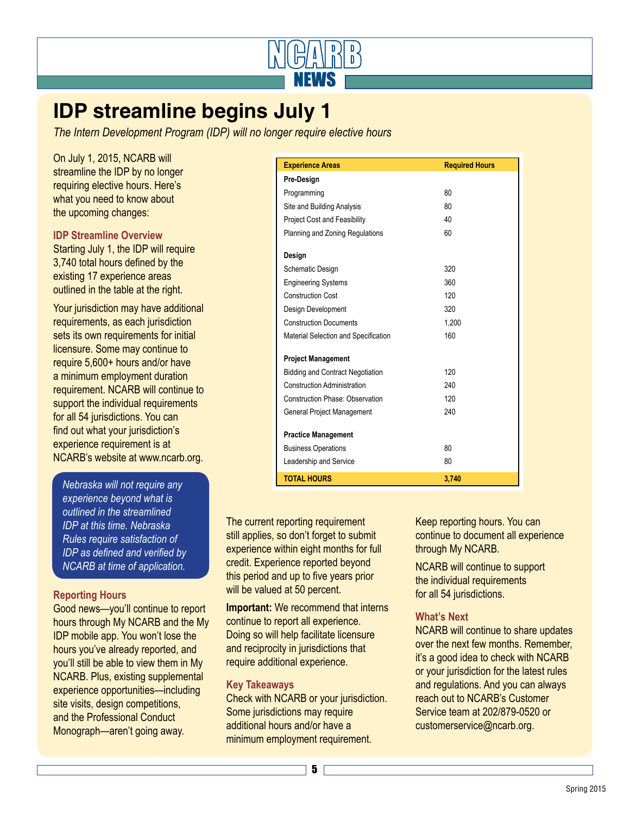

### **IDP streamline begins July 1**

*The Intern Development Program (IDP) will no longer require elective hours* 

On July 1, 2015, NCARB will streamline the IDP by no longer requiring elective hours. Here's what you need to know about the upcoming changes:

#### **IDP Streamline Overview**

Starting July 1, the IDP will require 3,740 total hours defined by the existing 17 experience areas outlined in the table at the right.

Your jurisdiction may have additional requirements, as each jurisdiction sets its own requirements for initial licensure. Some may continue to require 5,600+ hours and/or have a minimum employment duration requirement. NCARB will continue to support the individual requirements for all 54 jurisdictions. You can find out what your jurisdiction's experience requirement is at NCARB's website at www.ncarb.org.

*Nebraska will not require any experience beyond what is outlined in the streamlined IDP at this time. Nebraska Rules require satisfaction of IDP as defined and verified by NCARB at time of application.*

#### **Reporting Hours**

Good news—you'll continue to report hours through My NCARB and the My IDP mobile app. You won't lose the hours you've already reported, and you'll still be able to view them in My NCARB. Plus, existing supplemental experience opportunities—including site visits, design competitions. and the Professional Conduct Monograph—aren't going away.

| <b>Experience Areas</b>                 | <b>Required Hours</b> |
|-----------------------------------------|-----------------------|
| Pre-Design                              |                       |
| Programming                             | 80                    |
| Site and Building Analysis              | 80                    |
| <b>Project Cost and Feasibility</b>     | 40                    |
| Planning and Zoning Regulations         | 60                    |
| Design                                  |                       |
| Schematic Design                        | 320                   |
| <b>Engineering Systems</b>              | 360                   |
| <b>Construction Cost</b>                | 120                   |
| <b>Design Development</b>               | 320                   |
| <b>Construction Documents</b>           | 1.200                 |
| Material Selection and Specification    | 160                   |
| <b>Project Management</b>               |                       |
| <b>Bidding and Contract Negotiation</b> | 120                   |
| <b>Construction Administration</b>      | 240                   |
| <b>Construction Phase: Observation</b>  | 120                   |
| General Project Management              | 240                   |
| <b>Practice Management</b>              |                       |
| <b>Business Operations</b>              | 80                    |
| Leadership and Service                  | 80                    |
| <b>TOTAL HOURS</b>                      | 3,740                 |

The current reporting requirement still applies, so don't forget to submit experience within eight months for full credit. Experience reported beyond this period and up to five years prior will be valued at 50 percent.

**Important:** We recommend that interns continue to report all experience. Doing so will help facilitate licensure and reciprocity in jurisdictions that require additional experience.

#### **Key Takeaways**

Check with NCARB or your jurisdiction. Some jurisdictions may require additional hours and/or have a minimum employment requirement.

Keep reporting hours. You can continue to document all experience through My NCARB.

NCARB will continue to support the individual requirements for all 54 jurisdictions.

#### **What's Next**

NCARB will continue to share updates over the next few months. Remember, it's a good idea to check with NCARB or your jurisdiction for the latest rules and regulations. And you can always reach out to NCARB's Customer Service team at 202/879-0520 or customerservice@ncarb.org.

5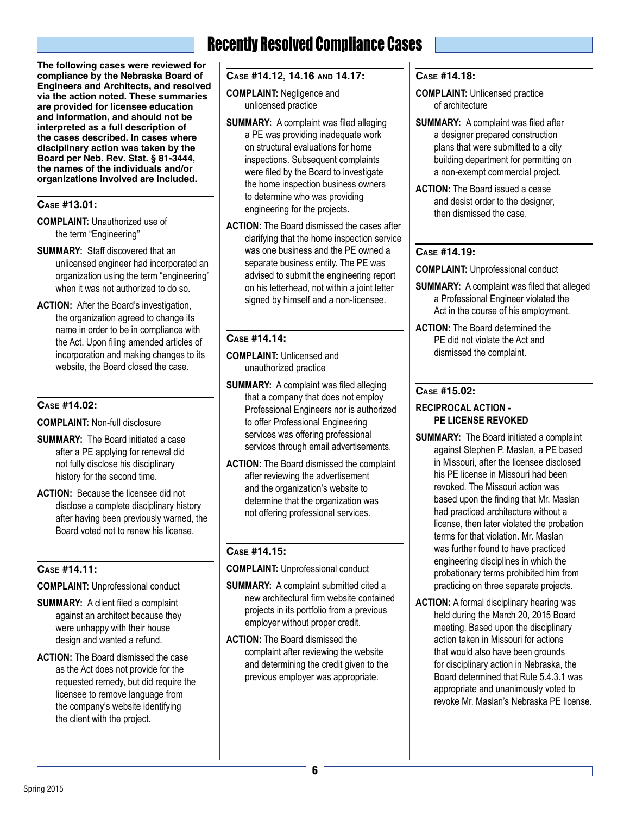**The following cases were reviewed for compliance by the Nebraska Board of Engineers and Architects, and resolved via the action noted. These summaries are provided for licensee education and information, and should not be interpreted as a full description of the cases described. In cases where disciplinary action was taken by the Board per Neb. Rev. Stat. § 81-3444, the names of the individuals and/or organizations involved are included.**

#### **Case #13.01:**

- **COMPLAINT:** Unauthorized use of the term "Engineering"
- **SUMMARY:** Staff discovered that an unlicensed engineer had incorporated an organization using the term "engineering" when it was not authorized to do so.
- **ACTION:** After the Board's investigation, the organization agreed to change its name in order to be in compliance with the Act. Upon filing amended articles of incorporation and making changes to its website, the Board closed the case.

#### **Case #14.02:**

**COMPLAINT:** Non-full disclosure

- **SUMMARY:** The Board initiated a case after a PE applying for renewal did not fully disclose his disciplinary history for the second time.
- **ACTION:** Because the licensee did not disclose a complete disciplinary history after having been previously warned, the Board voted not to renew his license.

#### **Case #14.11:**

**COMPLAINT:** Unprofessional conduct

- **SUMMARY:** A client filed a complaint against an architect because they were unhappy with their house design and wanted a refund.
- **ACTION:** The Board dismissed the case as the Act does not provide for the requested remedy, but did require the licensee to remove language from the company's website identifying the client with the project.

### Recently Resolved Compliance Cases

#### **Case #14.12, 14.16 and 14.17:**

**COMPLAINT:** Negligence and unlicensed practice

- **SUMMARY:** A complaint was filed alleging a PE was providing inadequate work on structural evaluations for home inspections. Subsequent complaints were filed by the Board to investigate the home inspection business owners to determine who was providing engineering for the projects.
- **ACTION:** The Board dismissed the cases after clarifying that the home inspection service was one business and the PE owned a separate business entity. The PE was advised to submit the engineering report on his letterhead, not within a joint letter signed by himself and a non-licensee.

#### **Case #14.14:**

**COMPLAINT:** Unlicensed and unauthorized practice

- **SUMMARY:** A complaint was filed alleging that a company that does not employ Professional Engineers nor is authorized to offer Professional Engineering services was offering professional services through email advertisements.
- **ACTION:** The Board dismissed the complaint after reviewing the advertisement and the organization's website to determine that the organization was not offering professional services.

#### **Case #14.15:**

**COMPLAINT:** Unprofessional conduct

- **SUMMARY:** A complaint submitted cited a new architectural firm website contained projects in its portfolio from a previous employer without proper credit.
- **ACTION:** The Board dismissed the complaint after reviewing the website and determining the credit given to the previous employer was appropriate.

#### **Case #14.18:**

**COMPLAINT:** Unlicensed practice of architecture

- **SUMMARY:** A complaint was filed after a designer prepared construction plans that were submitted to a city building department for permitting on a non-exempt commercial project.
- **ACTION:** The Board issued a cease and desist order to the designer, then dismissed the case.

#### **Case #14.19:**

**COMPLAINT:** Unprofessional conduct

- **SUMMARY:** A complaint was filed that alleged a Professional Engineer violated the Act in the course of his employment.
- **ACTION:** The Board determined the PE did not violate the Act and dismissed the complaint.

#### **Case #15.02:**

#### **RECIPROCAL ACTION - PE LICENSE REVOKED**

- **SUMMARY:** The Board initiated a complaint against Stephen P. Maslan, a PE based in Missouri, after the licensee disclosed his PE license in Missouri had been revoked. The Missouri action was based upon the finding that Mr. Maslan had practiced architecture without a license, then later violated the probation terms for that violation. Mr. Maslan was further found to have practiced engineering disciplines in which the probationary terms prohibited him from practicing on three separate projects.
- **ACTION:** A formal disciplinary hearing was held during the March 20, 2015 Board meeting. Based upon the disciplinary action taken in Missouri for actions that would also have been grounds for disciplinary action in Nebraska, the Board determined that Rule 5.4.3.1 was appropriate and unanimously voted to revoke Mr. Maslan's Nebraska PE license.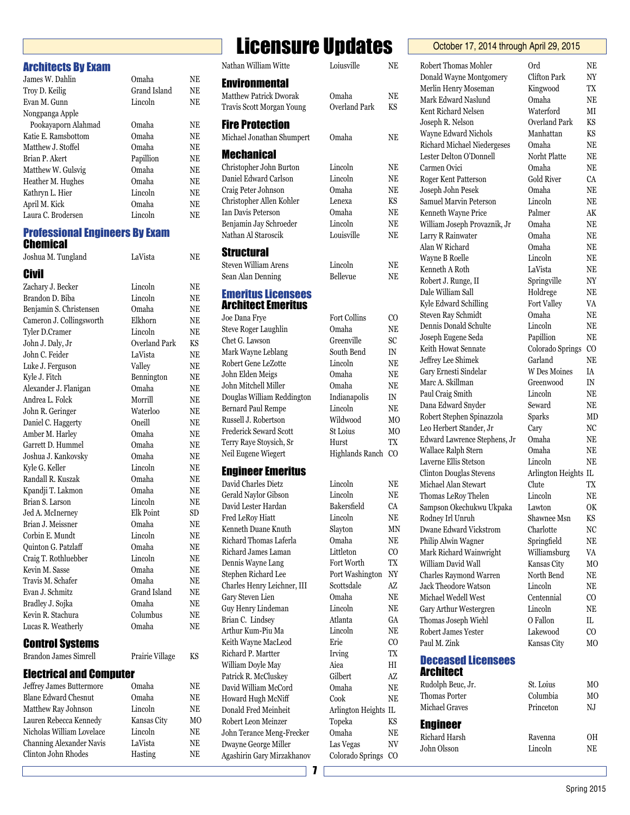| <b>Architects By Exam</b>             |                 |           | Natha           |
|---------------------------------------|-----------------|-----------|-----------------|
| James W. Dahlin                       | Omaha           | NΕ        | Envi            |
| Troy D. Keilig                        | Grand Island    | NΕ        | Matth           |
| Evan M. Gunn                          | Lincoln         | <b>NE</b> | Travis          |
| Nongpanga Apple                       |                 |           |                 |
| Pookayaporn Alahmad                   | Omaha           | NE        | <b>Fire</b>     |
| Katie E. Ramsbottom                   | Omaha           | NE        | Micha           |
| Matthew J. Stoffel                    | Omaha           | NE        | Mec             |
| Brian P. Akert                        | Papillion       | NΕ        |                 |
| Matthew W. Gulsvig                    | Omaha           | NΕ        | Christ          |
| Heather M. Hughes                     | Omaha           | NΕ        | Danie           |
| Kathryn L. Hier                       | Lincoln         | NE        | Craig           |
| April M. Kick                         | Omaha           | NE        | Christ          |
| Laura C. Brodersen                    | Lincoln         | NΕ        | Ian Da          |
| <b>Professional Engineers By Exam</b> |                 |           | Benja<br>Natha  |
| <b>Chemical</b>                       |                 |           | Stru            |
| Joshua M. Tungland                    | LaVista         | NE        | Stever          |
| <b>Civil</b>                          |                 |           | Sean A          |
| Zachary J. Becker                     | Lincoln         | NE        |                 |
| Brandon D. Biba                       | Lincoln         | NE        | Eme             |
| Benjamin S. Christensen               | Omaha           | <b>NE</b> | Arch            |
| Cameron J. Collingsworth              | Elkhorn         | NE        | Joe Da          |
| Tyler D.Cramer                        | Lincoln         | NE        | <b>Steve</b>    |
| John J. Daly, Jr                      | Overland Park   | KS        | Chet (          |
| John C. Feider                        | LaVista         | NE        | Mark            |
| Luke J. Ferguson                      | Valley          | NE        | Rober           |
| Kyle J. Fitch                         | Bennington      | NE        | John 1          |
| Alexander J. Flanigan                 | Omaha           | NΕ        | John 1          |
| Andrea L. Folck                       | Morrill         | NΕ        | Dougl           |
| John R. Geringer                      | Waterloo        | NΕ        | Berna           |
| Daniel C. Haggerty                    | Oneill          | NΕ        | Russe           |
| Amber M. Harley                       | Omaha           | NE        | <b>Frede:</b>   |
| Garrett D. Hummel                     | Omaha           | NE        | Terry           |
| Joshua J. Kankovsky                   | Omaha           | NE        | Neil E          |
| Kyle G. Keller                        | Lincoln         | NE        | Engi            |
| Randall R. Kuszak                     | Omaha           | NE        | David           |
| Kpandji T. Lakmon                     | Omaha           | NE        | Gerald          |
| Brian S. Larson                       | Lincoln         | NE        | David           |
| Jed A. McInerney                      | Elk Point       | SD        | Fred I          |
| Brian J. Meissner                     | Omaha           | NE        | Kenne           |
| Corbin E. Mundt                       | Lincoln         | NE        | Richa           |
| Quinton G. Patzlaff                   | Omaha           | NE        |                 |
| Craig T. Rothluebber                  | Lincoln         | NE        | Richa           |
| Kevin M. Sasse                        | Omaha           | NE        | Denni<br>Steph  |
| Travis M. Schafer                     | Omaha           | NE        |                 |
| Evan J. Schmitz                       | Grand Island    | NE        | Charle          |
| Bradley J. Sojka                      | Omaha           | NE        | Gary S          |
| Kevin R. Stachura                     | Columbus        | NE        | Guy H           |
| Lucas R. Weatherly                    | Omaha           | NE        | Brian           |
|                                       |                 |           | Arthu<br>Keith  |
| <b>Control Systems</b>                |                 |           |                 |
| <b>Brandon James Simrell</b>          | Prairie Village | KS        | Richa<br>Willia |
| <b>Electrical and Computer</b>        |                 |           | Patric          |
| Jeffrey James Buttermore              | Omaha           | NE        | David           |

#### **Electri**

| Jeffrey James Buttermore        | Omaha       | NE |
|---------------------------------|-------------|----|
| <b>Blane Edward Chesnut</b>     | Omaha       | NΕ |
| Matthew Ray Johnson             | Lincoln     | NE |
| Lauren Rebecca Kennedy          | Kansas City | MO |
| Nicholas William Lovelace       | Lincoln     | NE |
| <b>Channing Alexander Navis</b> | LaVista     | NΕ |
| Clinton John Rhodes             | Hasting     | NE |
|                                 |             |    |

### Licensure Undates **Coctober 17, 2014 through April 29, 2015**

| JUHUUI                                                  | Juuu<br>luu                   |                          |
|---------------------------------------------------------|-------------------------------|--------------------------|
| Nathan William Witte                                    | Loiusville                    | NE                       |
| <b>Environmental</b>                                    |                               |                          |
| Matthew Patrick Dworak                                  | Omaha                         | NE                       |
| Travis Scott Morgan Young                               | <b>Overland Park</b>          | KS                       |
|                                                         |                               |                          |
| <b>Fire Protection</b>                                  |                               |                          |
| Michael Jonathan Shumpert                               | Omaha                         | NE                       |
| <b>Mechanical</b>                                       |                               |                          |
| Christopher John Burton                                 | Lincoln                       | NE                       |
| Daniel Edward Carlson                                   | Lincoln                       | $\rm NE$                 |
| Craig Peter Johnson                                     | Omaha                         | NE                       |
| Christopher Allen Kohler                                | Lenexa                        | KS                       |
| Ian Davis Peterson                                      | Omaha                         | NE                       |
| Benjamin Jay Schroeder<br>Nathan Al Staroscik           | Lincoln<br>Louisville         | NE<br>NE                 |
|                                                         |                               |                          |
| Structural                                              |                               |                          |
| Steven William Arens                                    | Lincoln                       | NE                       |
| Sean Alan Denning                                       | Bellevue                      | NE                       |
| <b>Emeritus Licensees</b>                               |                               |                          |
| Architect Emeritus                                      |                               |                          |
| Joe Dana Frye                                           | <b>Fort Collins</b>           | $_{\rm CO}$              |
| <b>Steve Roger Laughlin</b>                             | Omaha                         | NE                       |
| Chet G. Lawson                                          | Greenville                    | SC                       |
| Mark Wayne Leblang                                      | South Bend                    | IN                       |
| Robert Gene LeZotte                                     | Lincoln                       | NE                       |
| John Elden Meigs                                        | Omaha                         | NE                       |
| John Mitchell Miller                                    | Omaha                         | NE                       |
| Douglas William Reddington<br><b>Bernard Paul Rempe</b> | Indianapolis<br>Lincoln       | IN<br>NE                 |
| Russell J. Robertson                                    | Wildwood                      | M <sub>O</sub>           |
| Frederick Seward Scott                                  | St Loius                      | MО                       |
| Terry Raye Stoysich, Sr                                 | Hurst                         | TX                       |
| Neil Eugene Wiegert                                     | <b>Highlands Ranch</b>        | CO                       |
|                                                         |                               |                          |
| Engineer Emeritus<br>David Charles Dietz                |                               |                          |
| <b>Gerald Naylor Gibson</b>                             | Lincoln<br>Lincoln            | NE<br>NE                 |
| David Lester Hardan                                     | Bakersfield                   | CA                       |
| Fred LeRoy Hiatt                                        | Lincoln                       | NE                       |
| Kenneth Duane Knuth                                     | Slayton                       | ΜN                       |
| Richard Thomas Laferla                                  | Omaha                         | NE                       |
| Richard James Laman                                     | Littleton                     | CO                       |
| Dennis Wayne Lang                                       | Fort Worth                    | TX                       |
| Stephen Richard Lee                                     | Port Washington               | $\ensuremath{\text{NY}}$ |
| Charles Henry Leichner, III                             | Scottsdale                    | AZ                       |
| Gary Steven Lien                                        | Omaha                         | NE                       |
| Guy Henry Lindeman                                      | Lincoln<br>Atlanta            | NE                       |
| Brian C. Lindsey<br>Arthur Kum-Piu Ma                   | Lincoln                       | GA<br>NE                 |
| Keith Wayne MacLeod                                     | Erie                          | $\rm CO$                 |
| Richard P. Martter                                      | Irving                        | TX                       |
| William Doyle May                                       | Aiea                          | HI                       |
| Patrick R. McCluskey                                    | Gilbert                       | AZ                       |
| David William McCord                                    | Omaha                         | NE                       |
| Howard Hugh McNiff                                      | Cook                          | NE                       |
| Donald Fred Meinheit                                    | Arlington Heights IL          |                          |
| Robert Leon Meinzer                                     | Topeka                        | KS                       |
| John Terance Meng-Frecker                               | Omaha                         | NE                       |
| Dwayne George Miller<br>Agashirin Gary Mirzakhanov      | Las Vegas<br>Colorado Springs | NV<br>CO                 |
|                                                         |                               |                          |
| 7                                                       |                               |                          |

#### Robert Thomas Mohler Ord NE Donald Wayne Montgomery Clifton Park NY Merlin Henry Moseman Kingwood TX Mark Edward Naslund Omaha NE Kent Richard Nelsen Waterford MI Joseph R. Nelson Overland Park KS Wayne Edward Nichols Manhattan KS Richard Michael Niedergeses Omaha NE Lester Delton O'Donnell Norht Platte NE Carmen Ovici Omaha NE Roger Kent Patterson Gold River CA Joseph John Pesek Omaha NE Samuel Marvin Peterson Lincoln NE Kenneth Wayne Price Palmer AK William Joseph Provaznik, Jr Omaha NE Larry R Rainwater Omaha NE Alan W Richard Omaha NE Wayne B Roelle Lincoln NE Kenneth A Roth LaVista NE Robert J. Runge, II Springville NY Dale William Sall **Holdrege** NE Kyle Edward Schilling Fort Valley VA Steven Ray Schmidt Omaha NE Dennis Donald Schulte Lincoln NE Joseph Eugene Seda Papillion NE Keith Howat Sennate Colorado Springs CO Jeffrey Lee Shimek Garland NE Gary Ernesti Sindelar W Des Moines IA Marc A. Skillman Greenwood IN Paul Craig Smith Lincoln NE Dana Edward Snyder Seward NE Robert Stephen Spinazzola Sparks MD Leo Herbert Stander, Jr Cary NC Edward Lawrence Stephens, Jr Omaha NE Wallace Ralph Stern Omaha NE Laverne Ellis Stetson Lincoln NE Clinton Douglas Stevens Arlington Heights IL Michael Alan Stewart Clute TX Thomas LeRoy Thelen Lincoln NE Sampson Okechukwu Ukpaka Lawton OK Rodney Irl Unruh Shawnee Msn KS Dwane Edward Vickstrom Charlotte NC Philip Alwin Wagner Springfield NE Mark Richard Wainwright Williamsburg VA William David Wall **Kansas City** MO Charles Raymond Warren North Bend NE Jack Theodore Watson Lincoln NE Michael Wedell West Centennial CO Gary Arthur Westergren Lincoln NE Thomas Joseph Wiehl O Fallon IL Robert James Yester Lakewood CO Paul M. Zink Kansas City MO Deceased Licensees Architect Rudolph Beuc, Jr. St. Loius MO Thomas Porter Columbia MO Michael Graves Princeton NJ **Engineer** Richard Harsh Ravenna OH John Olsson Lincoln NE